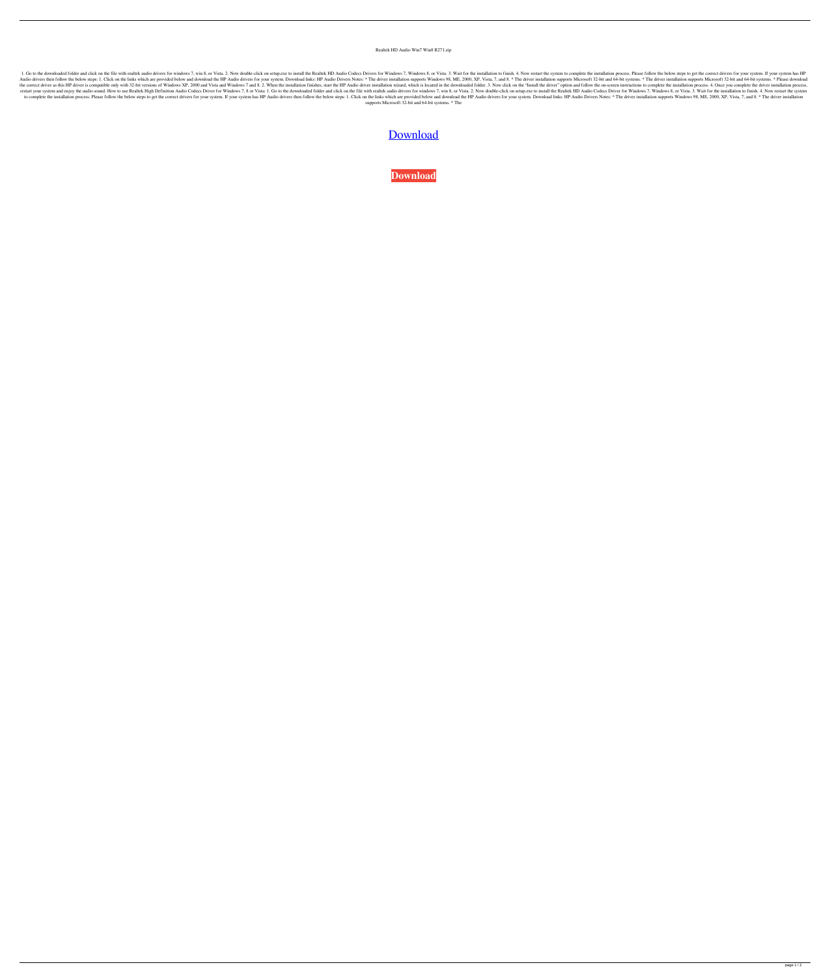## Realtek HD Audio Win7 Win8 R271.zip

1. Go to the downloaded folder and click on the file with realtek audio drivers for windows 7, win 8, or Vista. 2. Now double-click on setup.exe to install the Realtek HD Audio Codecs Drivers for Windows 8, or Vista. 3. Wa Audio drivers then follow the below steps: 1. Click on the links which are provided below and download the HP Audio drivers for your system. Download links: HP Audio Drivers Notes: \* The driver installation supports Micros the correct driver as this HP driver is compatible only with 32-bit versions of Windows XP, 2000 and Vista and Windows 7 and 8.2. When the installation finishes, start the HP Audio driver installation wizard, which is loca restart your system and enjoy the audio sound. How to use Realtek High Definition Audio Codecs Driver for Windows 7, 8 or Vista: 1. Go to the downloaded folder and click on the file with realtek audio drivers for windows 7 to complete the installation process. Please follow the below steps to get the correct drivers for your system. If your system has HP Audio drivers then follow the below steps: 1. Click on the links which are provided belo supports Microsoft 32-bit and 64-bit systems. \* The

[Download](http://evacdir.com/credit/doms.claimant?envying=&ZG93bmxvYWR8VHk3TW5FMmFYeDhNVFkxTWpjME1EZzJObng4TWpVM05IeDhLRTBwSUhKbFlXUXRZbXh2WnlCYlJtRnpkQ0JIUlU1ZA=kana&UmVhbHRlayBIRCBBdWRpbyBXaW43IFdpbjggUjI3MS56aXAUmV=perignon)

**[Download](http://evacdir.com/credit/doms.claimant?envying=&ZG93bmxvYWR8VHk3TW5FMmFYeDhNVFkxTWpjME1EZzJObng4TWpVM05IeDhLRTBwSUhKbFlXUXRZbXh2WnlCYlJtRnpkQ0JIUlU1ZA=kana&UmVhbHRlayBIRCBBdWRpbyBXaW43IFdpbjggUjI3MS56aXAUmV=perignon)**